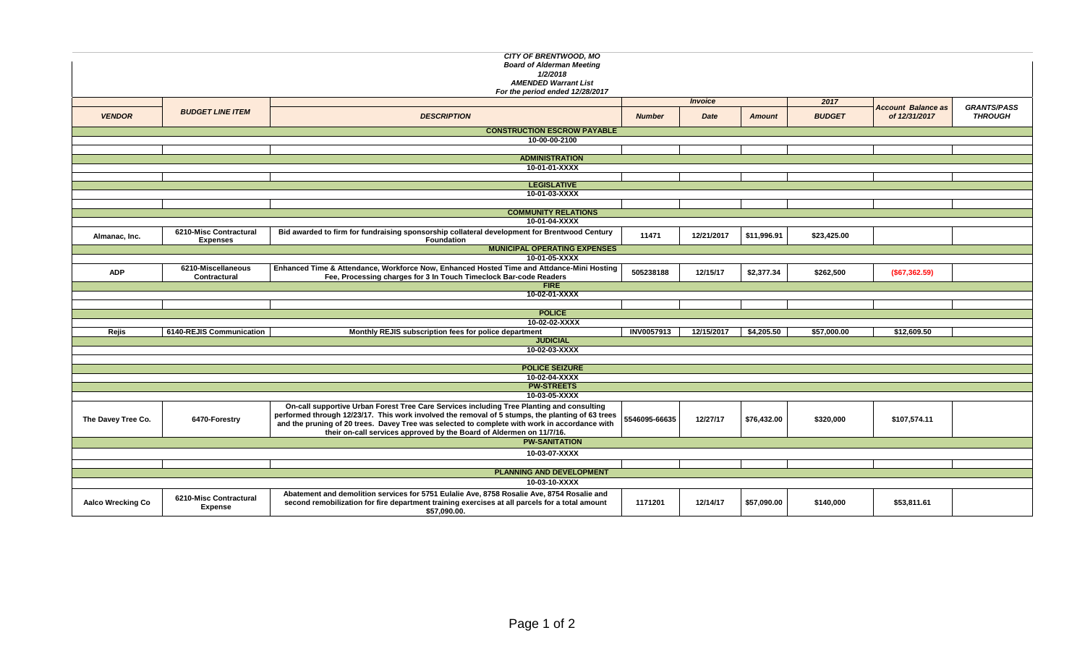| CITY OF BRENTWOOD, MO<br><b>Board of Alderman Meeting</b><br>1/2/2018<br><b>AMENDED Warrant List</b><br>For the period ended 12/28/2017 |                                           |                                                                                                                                                                                                                                                                                                                                                                        |               |                |               |               |                                            |                                      |  |  |  |  |
|-----------------------------------------------------------------------------------------------------------------------------------------|-------------------------------------------|------------------------------------------------------------------------------------------------------------------------------------------------------------------------------------------------------------------------------------------------------------------------------------------------------------------------------------------------------------------------|---------------|----------------|---------------|---------------|--------------------------------------------|--------------------------------------|--|--|--|--|
|                                                                                                                                         |                                           |                                                                                                                                                                                                                                                                                                                                                                        |               | <b>Invoice</b> |               |               |                                            |                                      |  |  |  |  |
| <b>VENDOR</b>                                                                                                                           | <b>BUDGET LINE ITEM</b>                   | <b>DESCRIPTION</b>                                                                                                                                                                                                                                                                                                                                                     | <b>Number</b> | Date           | <b>Amount</b> | <b>BUDGET</b> | <b>Account Balance as</b><br>of 12/31/2017 | <b>GRANTS/PASS</b><br><b>THROUGH</b> |  |  |  |  |
| <b>CONSTRUCTION ESCROW PAYABLE</b>                                                                                                      |                                           |                                                                                                                                                                                                                                                                                                                                                                        |               |                |               |               |                                            |                                      |  |  |  |  |
| 10-00-00-2100                                                                                                                           |                                           |                                                                                                                                                                                                                                                                                                                                                                        |               |                |               |               |                                            |                                      |  |  |  |  |
|                                                                                                                                         |                                           |                                                                                                                                                                                                                                                                                                                                                                        |               |                |               |               |                                            |                                      |  |  |  |  |
|                                                                                                                                         |                                           | <b>ADMINISTRATION</b><br>10-01-01-XXXX                                                                                                                                                                                                                                                                                                                                 |               |                |               |               |                                            |                                      |  |  |  |  |
|                                                                                                                                         |                                           |                                                                                                                                                                                                                                                                                                                                                                        |               |                |               |               |                                            |                                      |  |  |  |  |
|                                                                                                                                         |                                           | <b>LEGISLATIVE</b>                                                                                                                                                                                                                                                                                                                                                     |               |                |               |               |                                            |                                      |  |  |  |  |
|                                                                                                                                         |                                           | 10-01-03-XXXX                                                                                                                                                                                                                                                                                                                                                          |               |                |               |               |                                            |                                      |  |  |  |  |
|                                                                                                                                         |                                           |                                                                                                                                                                                                                                                                                                                                                                        |               |                |               |               |                                            |                                      |  |  |  |  |
|                                                                                                                                         |                                           | <b>COMMUNITY RELATIONS</b>                                                                                                                                                                                                                                                                                                                                             |               |                |               |               |                                            |                                      |  |  |  |  |
|                                                                                                                                         |                                           | 10-01-04-XXXX                                                                                                                                                                                                                                                                                                                                                          |               |                |               |               |                                            |                                      |  |  |  |  |
| Almanac, Inc.                                                                                                                           | 6210-Misc Contractural<br><b>Expenses</b> | Bid awarded to firm for fundraising sponsorship collateral development for Brentwood Century<br>Foundation                                                                                                                                                                                                                                                             | 11471         | 12/21/2017     | \$11,996.91   | \$23,425.00   |                                            |                                      |  |  |  |  |
|                                                                                                                                         |                                           | <b>MUNICIPAL OPERATING EXPENSES</b>                                                                                                                                                                                                                                                                                                                                    |               |                |               |               |                                            |                                      |  |  |  |  |
|                                                                                                                                         |                                           | 10-01-05-XXXX                                                                                                                                                                                                                                                                                                                                                          |               |                |               |               |                                            |                                      |  |  |  |  |
| <b>ADP</b>                                                                                                                              | 6210-Miscellaneous<br>Contractural        | Enhanced Time & Attendance, Workforce Now, Enhanced Hosted Time and Attdance-Mini Hosting<br>Fee, Processing charges for 3 In Touch Timeclock Bar-code Readers                                                                                                                                                                                                         | 505238188     | 12/15/17       | \$2,377.34    | \$262,500     | (\$67,362.59)                              |                                      |  |  |  |  |
|                                                                                                                                         |                                           | <b>FIRE</b>                                                                                                                                                                                                                                                                                                                                                            |               |                |               |               |                                            |                                      |  |  |  |  |
|                                                                                                                                         |                                           | 10-02-01-XXXX                                                                                                                                                                                                                                                                                                                                                          |               |                |               |               |                                            |                                      |  |  |  |  |
|                                                                                                                                         |                                           |                                                                                                                                                                                                                                                                                                                                                                        |               |                |               |               |                                            |                                      |  |  |  |  |
|                                                                                                                                         |                                           | <b>POLICE</b>                                                                                                                                                                                                                                                                                                                                                          |               |                |               |               |                                            |                                      |  |  |  |  |
|                                                                                                                                         |                                           | 10-02-02-XXXX                                                                                                                                                                                                                                                                                                                                                          | INV0057913    | 12/15/2017     | \$4,205.50    | \$57,000.00   | \$12,609.50                                |                                      |  |  |  |  |
| Rejis                                                                                                                                   | 6140-REJIS Communication                  | Monthly REJIS subscription fees for police department<br><b>JUDICIAL</b>                                                                                                                                                                                                                                                                                               |               |                |               |               |                                            |                                      |  |  |  |  |
|                                                                                                                                         |                                           | 10-02-03-XXXX                                                                                                                                                                                                                                                                                                                                                          |               |                |               |               |                                            |                                      |  |  |  |  |
|                                                                                                                                         |                                           |                                                                                                                                                                                                                                                                                                                                                                        |               |                |               |               |                                            |                                      |  |  |  |  |
|                                                                                                                                         |                                           | <b>POLICE SEIZURE</b>                                                                                                                                                                                                                                                                                                                                                  |               |                |               |               |                                            |                                      |  |  |  |  |
|                                                                                                                                         |                                           | 10-02-04-XXXX                                                                                                                                                                                                                                                                                                                                                          |               |                |               |               |                                            |                                      |  |  |  |  |
|                                                                                                                                         |                                           | <b>PW-STREETS</b>                                                                                                                                                                                                                                                                                                                                                      |               |                |               |               |                                            |                                      |  |  |  |  |
|                                                                                                                                         |                                           | 10-03-05-XXXX                                                                                                                                                                                                                                                                                                                                                          |               |                |               |               |                                            |                                      |  |  |  |  |
| The Davey Tree Co.                                                                                                                      | 6470-Forestry                             | On-call supportive Urban Forest Tree Care Services including Tree Planting and consulting<br>performed through 12/23/17. This work involved the removal of 5 stumps, the planting of 63 trees<br>and the pruning of 20 trees. Davey Tree was selected to complete with work in accordance with<br>their on-call services approved by the Board of Aldermen on 11/7/16. | 5546095-66635 | 12/27/17       | \$76,432.00   | \$320,000     | \$107,574.11                               |                                      |  |  |  |  |
|                                                                                                                                         |                                           | <b>PW-SANITATION</b>                                                                                                                                                                                                                                                                                                                                                   |               |                |               |               |                                            |                                      |  |  |  |  |
|                                                                                                                                         |                                           | 10-03-07-XXXX                                                                                                                                                                                                                                                                                                                                                          |               |                |               |               |                                            |                                      |  |  |  |  |
|                                                                                                                                         |                                           |                                                                                                                                                                                                                                                                                                                                                                        |               |                |               |               |                                            |                                      |  |  |  |  |
| <b>PLANNING AND DEVELOPMENT</b>                                                                                                         |                                           |                                                                                                                                                                                                                                                                                                                                                                        |               |                |               |               |                                            |                                      |  |  |  |  |
|                                                                                                                                         |                                           | 10-03-10-XXXX                                                                                                                                                                                                                                                                                                                                                          |               |                |               |               |                                            |                                      |  |  |  |  |
| <b>Aalco Wrecking Co</b>                                                                                                                | 6210-Misc Contractural<br><b>Expense</b>  | Abatement and demolition services for 5751 Eulalie Ave, 8758 Rosalie Ave, 8754 Rosalie and<br>second remobilization for fire department training exercises at all parcels for a total amount<br>\$57,090.00.                                                                                                                                                           | 1171201       | 12/14/17       | \$57,090.00   | \$140,000     | \$53,811.61                                |                                      |  |  |  |  |